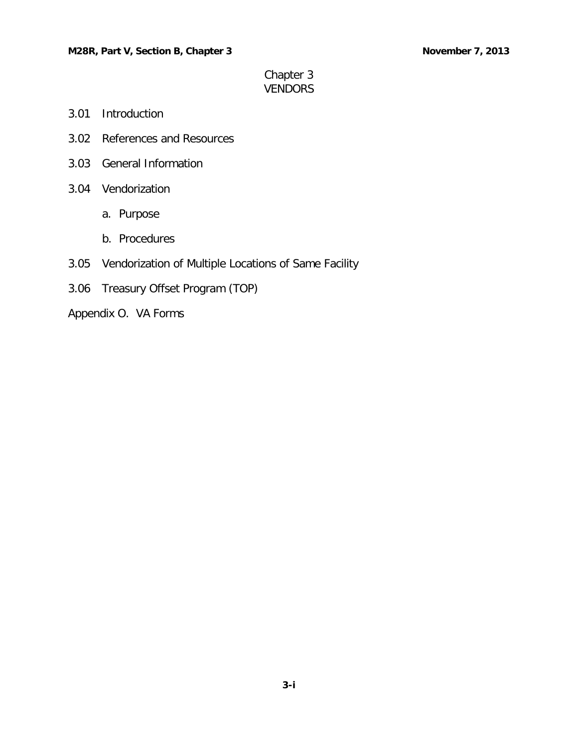# Chapter 3 VENDORS

- 3.01 [Introduction](#page-1-0)
- 3.02 [References and Resources](#page-1-1)
- 3.03 [General Information](#page-1-2)
- 3.04 [Vendorization](#page-2-0)
	- a. [Purpose](#page-2-1)
	- b. [Procedures](#page-2-2)
- 3.05 [Vendorization of Multiple Locations of Same Facility](#page-3-0)
- 3.06 [Treasury Offset Program \(TOP\)](#page-3-1)
- Appendix O. VA Forms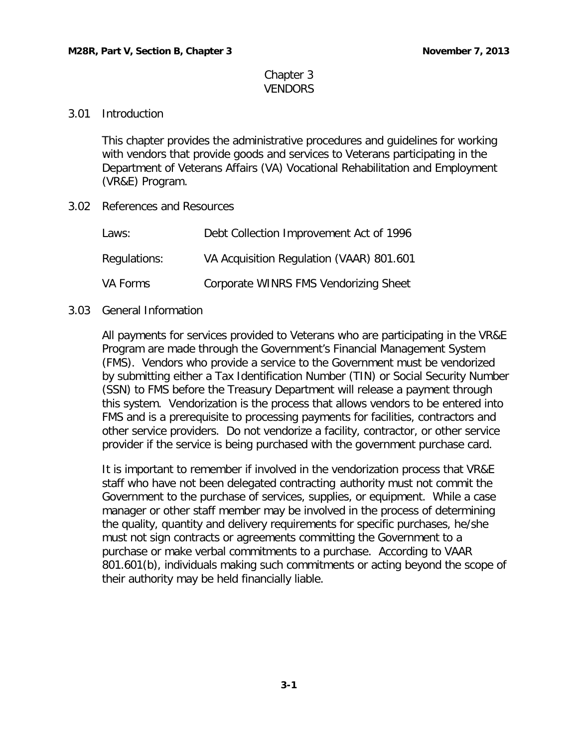### Chapter 3 VENDORS

## <span id="page-1-0"></span>3.01 Introduction

This chapter provides the administrative procedures and guidelines for working with vendors that provide goods and services to Veterans participating in the Department of Veterans Affairs (VA) Vocational Rehabilitation and Employment (VR&E) Program.

<span id="page-1-1"></span>3.02 References and Resources

| Laws:        | Debt Collection Improvement Act of 1996  |
|--------------|------------------------------------------|
| Regulations: | VA Acquisition Regulation (VAAR) 801.601 |
| VA Forms     | Corporate WINRS FMS Vendorizing Sheet    |

#### <span id="page-1-2"></span>3.03 General Information

All payments for services provided to Veterans who are participating in the VR&E Program are made through the Government's Financial Management System (FMS). Vendors who provide a service to the Government must be vendorized by submitting either a Tax Identification Number (TIN) or Social Security Number (SSN) to FMS before the Treasury Department will release a payment through this system. Vendorization is the process that allows vendors to be entered into FMS and is a prerequisite to processing payments for facilities, contractors and other service providers. Do not vendorize a facility, contractor, or other service provider if the service is being purchased with the government purchase card.

It is important to remember if involved in the vendorization process that VR&E staff who have not been delegated contracting authority must not commit the Government to the purchase of services, supplies, or equipment. While a case manager or other staff member may be involved in the process of determining the quality, quantity and delivery requirements for specific purchases, he/she must not sign contracts or agreements committing the Government to a purchase or make verbal commitments to a purchase. According to VAAR 801.601(b), individuals making such commitments or acting beyond the scope of their authority may be held financially liable.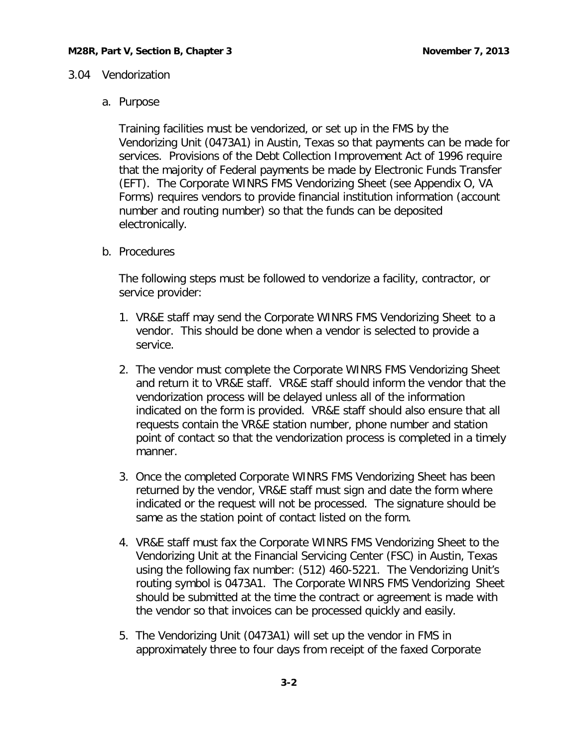### <span id="page-2-1"></span><span id="page-2-0"></span>3.04 Vendorization

### a. Purpose

Training facilities must be vendorized, or set up in the FMS by the Vendorizing Unit (0473A1) in Austin, Texas so that payments can be made for services. Provisions of the Debt Collection Improvement Act of 1996 require that the majority of Federal payments be made by Electronic Funds Transfer (EFT). The Corporate WINRS FMS Vendorizing Sheet (see Appendix O, VA Forms) requires vendors to provide financial institution information (account number and routing number) so that the funds can be deposited electronically.

<span id="page-2-2"></span>b. Procedures

The following steps must be followed to vendorize a facility, contractor, or service provider:

- 1. VR&E staff may send the Corporate WINRS FMS Vendorizing Sheet to a vendor. This should be done when a vendor is selected to provide a service.
- 2. The vendor must complete the Corporate WINRS FMS Vendorizing Sheet and return it to VR&E staff. VR&E staff should inform the vendor that the vendorization process will be delayed unless all of the information indicated on the form is provided. VR&E staff should also ensure that all requests contain the VR&E station number, phone number and station point of contact so that the vendorization process is completed in a timely manner.
- 3. Once the completed Corporate WINRS FMS Vendorizing Sheet has been returned by the vendor, VR&E staff must sign and date the form where indicated or the request will not be processed. The signature should be same as the station point of contact listed on the form.
- 4. VR&E staff must fax the Corporate WINRS FMS Vendorizing Sheet to the Vendorizing Unit at the Financial Servicing Center (FSC) in Austin, Texas using the following fax number: (512) 460-5221. The Vendorizing Unit's routing symbol is 0473A1. The Corporate WINRS FMS Vendorizing Sheet should be submitted at the time the contract or agreement is made with the vendor so that invoices can be processed quickly and easily.
- 5. The Vendorizing Unit (0473A1) will set up the vendor in FMS in approximately three to four days from receipt of the faxed Corporate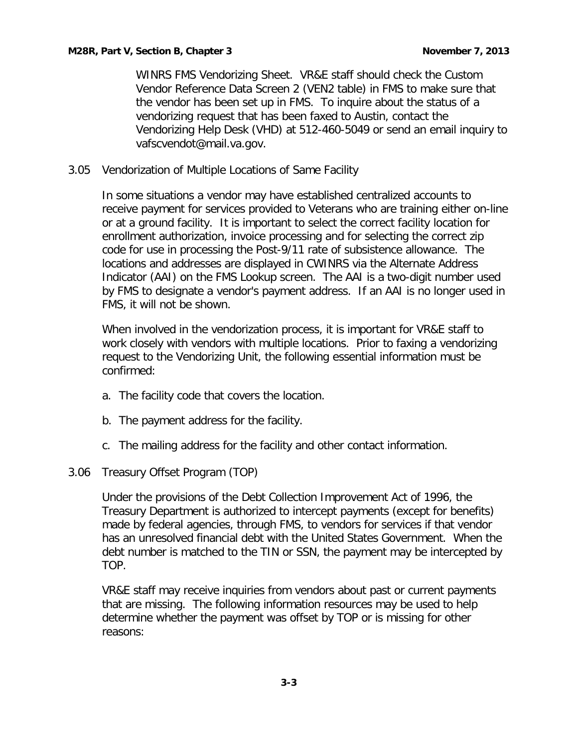WINRS FMS Vendorizing Sheet. VR&E staff should check the Custom Vendor Reference Data Screen 2 (VEN2 table) in FMS to make sure that the vendor has been set up in FMS. To inquire about the status of a vendorizing request that has been faxed to Austin, contact the Vendorizing Help Desk (VHD) at 512-460-5049 or send an email inquiry to [vafscvendot@mail.va.gov.](mailto:vafscvendot@mail.va.gov)

<span id="page-3-0"></span>3.05 Vendorization of Multiple Locations of Same Facility

In some situations a vendor may have established centralized accounts to receive payment for services provided to Veterans who are training either on-line or at a ground facility. It is important to select the correct facility location for enrollment authorization, invoice processing and for selecting the correct zip code for use in processing the Post-9/11 rate of subsistence allowance. The locations and addresses are displayed in CWINRS via the Alternate Address Indicator (AAI) on the FMS Lookup screen. The AAI is a two-digit number used by FMS to designate a vendor's payment address. If an AAI is no longer used in FMS, it will not be shown.

When involved in the vendorization process, it is important for VR&E staff to work closely with vendors with multiple locations. Prior to faxing a vendorizing request to the Vendorizing Unit, the following essential information must be confirmed:

- a. The facility code that covers the location.
- b. The payment address for the facility.
- c. The mailing address for the facility and other contact information.
- <span id="page-3-1"></span>3.06 Treasury Offset Program (TOP)

Under the provisions of the Debt Collection Improvement Act of 1996, the Treasury Department is authorized to intercept payments (except for benefits) made by federal agencies, through FMS, to vendors for services if that vendor has an unresolved financial debt with the United States Government. When the debt number is matched to the TIN or SSN, the payment may be intercepted by TOP.

VR&E staff may receive inquiries from vendors about past or current payments that are missing. The following information resources may be used to help determine whether the payment was offset by TOP or is missing for other reasons: